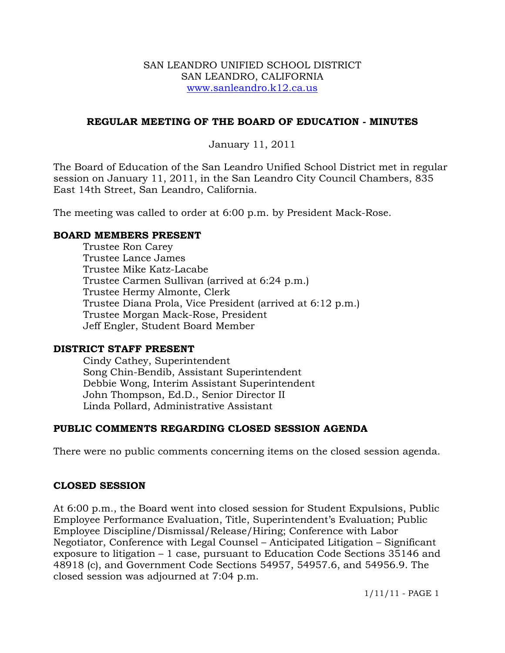#### SAN LEANDRO UNIFIED SCHOOL DISTRICT SAN LEANDRO, CALIFORNIA www.sanleandro.k12.ca.us

## **REGULAR MEETING OF THE BOARD OF EDUCATION - MINUTES**

## January 11, 2011

The Board of Education of the San Leandro Unified School District met in regular session on January 11, 2011, in the San Leandro City Council Chambers, 835 East 14th Street, San Leandro, California.

The meeting was called to order at 6:00 p.m. by President Mack-Rose.

#### **BOARD MEMBERS PRESENT**

Trustee Ron Carey Trustee Lance James Trustee Mike Katz-Lacabe Trustee Carmen Sullivan (arrived at 6:24 p.m.) Trustee Hermy Almonte, Clerk Trustee Diana Prola, Vice President (arrived at 6:12 p.m.) Trustee Morgan Mack-Rose, President Jeff Engler, Student Board Member

#### **DISTRICT STAFF PRESENT**

Cindy Cathey, Superintendent Song Chin-Bendib, Assistant Superintendent Debbie Wong, Interim Assistant Superintendent John Thompson, Ed.D., Senior Director II Linda Pollard, Administrative Assistant

## **PUBLIC COMMENTS REGARDING CLOSED SESSION AGENDA**

There were no public comments concerning items on the closed session agenda.

## **CLOSED SESSION**

At 6:00 p.m., the Board went into closed session for Student Expulsions, Public Employee Performance Evaluation, Title, Superintendent's Evaluation; Public Employee Discipline/Dismissal/Release/Hiring; Conference with Labor Negotiator, Conference with Legal Counsel – Anticipated Litigation – Significant exposure to litigation – 1 case, pursuant to Education Code Sections 35146 and 48918 (c), and Government Code Sections 54957, 54957.6, and 54956.9. The closed session was adjourned at 7:04 p.m.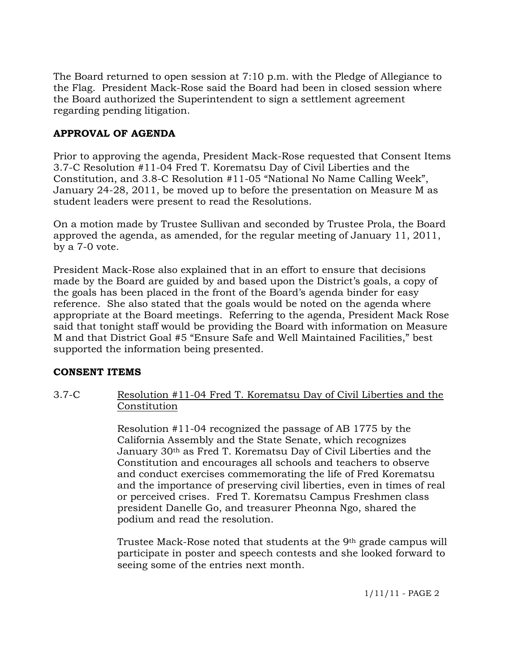The Board returned to open session at 7:10 p.m. with the Pledge of Allegiance to the Flag. President Mack-Rose said the Board had been in closed session where the Board authorized the Superintendent to sign a settlement agreement regarding pending litigation.

# **APPROVAL OF AGENDA**

Prior to approving the agenda, President Mack-Rose requested that Consent Items 3.7-C Resolution #11-04 Fred T. Korematsu Day of Civil Liberties and the Constitution, and 3.8-C Resolution #11-05 "National No Name Calling Week", January 24-28, 2011, be moved up to before the presentation on Measure M as student leaders were present to read the Resolutions.

On a motion made by Trustee Sullivan and seconded by Trustee Prola, the Board approved the agenda, as amended, for the regular meeting of January 11, 2011, by a 7-0 vote.

President Mack-Rose also explained that in an effort to ensure that decisions made by the Board are guided by and based upon the District's goals, a copy of the goals has been placed in the front of the Board's agenda binder for easy reference. She also stated that the goals would be noted on the agenda where appropriate at the Board meetings. Referring to the agenda, President Mack Rose said that tonight staff would be providing the Board with information on Measure M and that District Goal #5 "Ensure Safe and Well Maintained Facilities," best supported the information being presented.

## **CONSENT ITEMS**

3.7-C Resolution #11-04 Fred T. Korematsu Day of Civil Liberties and the Constitution

> Resolution #11-04 recognized the passage of AB 1775 by the California Assembly and the State Senate, which recognizes January 30th as Fred T. Korematsu Day of Civil Liberties and the Constitution and encourages all schools and teachers to observe and conduct exercises commemorating the life of Fred Korematsu and the importance of preserving civil liberties, even in times of real or perceived crises. Fred T. Korematsu Campus Freshmen class president Danelle Go, and treasurer Pheonna Ngo, shared the podium and read the resolution.

> Trustee Mack-Rose noted that students at the 9<sup>th</sup> grade campus will participate in poster and speech contests and she looked forward to seeing some of the entries next month.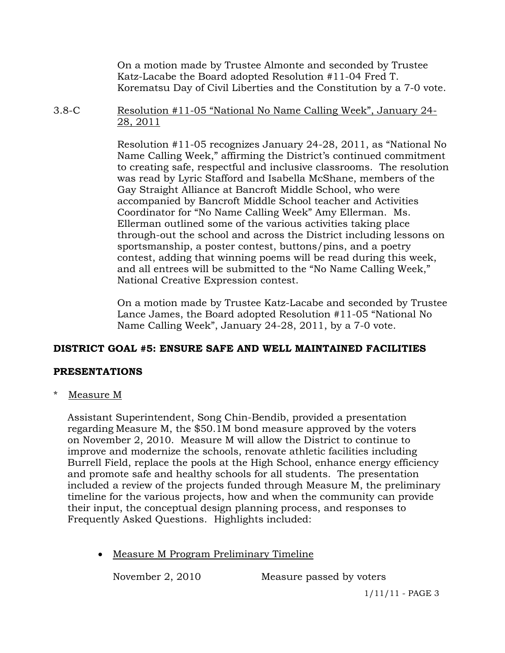On a motion made by Trustee Almonte and seconded by Trustee Katz-Lacabe the Board adopted Resolution #11-04 Fred T. Korematsu Day of Civil Liberties and the Constitution by a 7-0 vote.

3.8-C Resolution #11-05 "National No Name Calling Week", January 24- 28, 2011

> Resolution #11-05 recognizes January 24-28, 2011, as "National No Name Calling Week," affirming the District's continued commitment to creating safe, respectful and inclusive classrooms. The resolution was read by Lyric Stafford and Isabella McShane, members of the Gay Straight Alliance at Bancroft Middle School, who were accompanied by Bancroft Middle School teacher and Activities Coordinator for "No Name Calling Week" Amy Ellerman. Ms. Ellerman outlined some of the various activities taking place through-out the school and across the District including lessons on sportsmanship, a poster contest, buttons/pins, and a poetry contest, adding that winning poems will be read during this week, and all entrees will be submitted to the "No Name Calling Week," National Creative Expression contest.

> On a motion made by Trustee Katz-Lacabe and seconded by Trustee Lance James, the Board adopted Resolution #11-05 "National No Name Calling Week", January 24-28, 2011, by a 7-0 vote.

# **DISTRICT GOAL #5: ENSURE SAFE AND WELL MAINTAINED FACILITIES**

# **PRESENTATIONS**

\* Measure M

 Assistant Superintendent, Song Chin-Bendib, provided a presentation regarding Measure M, the \$50.1M bond measure approved by the voters on November 2, 2010. Measure M will allow the District to continue to improve and modernize the schools, renovate athletic facilities including Burrell Field, replace the pools at the High School, enhance energy efficiency and promote safe and healthy schools for all students. The presentation included a review of the projects funded through Measure M, the preliminary timeline for the various projects, how and when the community can provide their input, the conceptual design planning process, and responses to Frequently Asked Questions. Highlights included:

Measure M Program Preliminary Timeline

November 2, 2010 Measure passed by voters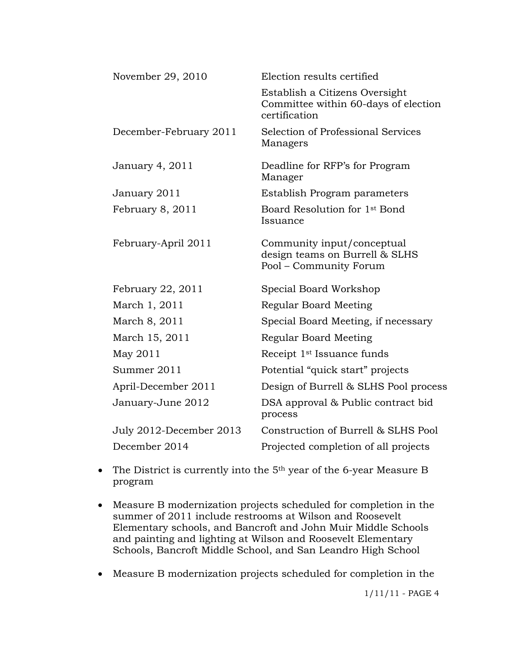| November 29, 2010       | Election results certified                                                              |
|-------------------------|-----------------------------------------------------------------------------------------|
|                         | Establish a Citizens Oversight<br>Committee within 60-days of election<br>certification |
| December-February 2011  | Selection of Professional Services<br>Managers                                          |
| January 4, 2011         | Deadline for RFP's for Program<br>Manager                                               |
| January 2011            | Establish Program parameters                                                            |
| February 8, 2011        | Board Resolution for 1 <sup>st</sup> Bond<br>Issuance                                   |
| February-April 2011     | Community input/conceptual<br>design teams on Burrell & SLHS<br>Pool – Community Forum  |
| February 22, 2011       | Special Board Workshop                                                                  |
| March 1, 2011           | Regular Board Meeting                                                                   |
| March 8, 2011           | Special Board Meeting, if necessary                                                     |
| March 15, 2011          | Regular Board Meeting                                                                   |
| May 2011                | Receipt 1 <sup>st</sup> Issuance funds                                                  |
| Summer 2011             | Potential "quick start" projects                                                        |
| April-December 2011     | Design of Burrell & SLHS Pool process                                                   |
| January-June 2012       | DSA approval & Public contract bid<br>process                                           |
| July 2012-December 2013 | Construction of Burrell & SLHS Pool                                                     |
| December 2014           | Projected completion of all projects                                                    |

- The District is currently into the 5<sup>th</sup> year of the 6-year Measure B program
- Measure B modernization projects scheduled for completion in the summer of 2011 include restrooms at Wilson and Roosevelt Elementary schools, and Bancroft and John Muir Middle Schools and painting and lighting at Wilson and Roosevelt Elementary Schools, Bancroft Middle School, and San Leandro High School
- Measure B modernization projects scheduled for completion in the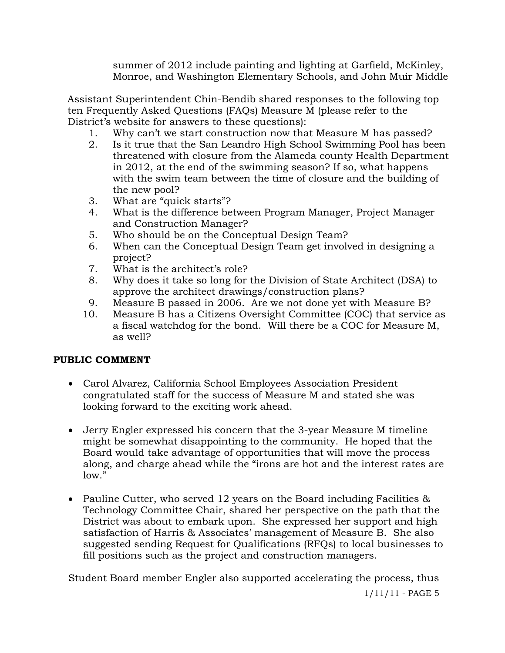summer of 2012 include painting and lighting at Garfield, McKinley, Monroe, and Washington Elementary Schools, and John Muir Middle

 Assistant Superintendent Chin-Bendib shared responses to the following top ten Frequently Asked Questions (FAQs) Measure M (please refer to the District's website for answers to these questions):

- 1. Why can't we start construction now that Measure M has passed?
- 2. Is it true that the San Leandro High School Swimming Pool has been threatened with closure from the Alameda county Health Department in 2012, at the end of the swimming season? If so, what happens with the swim team between the time of closure and the building of the new pool?
- 3. What are "quick starts"?
- 4. What is the difference between Program Manager, Project Manager and Construction Manager?
- 5. Who should be on the Conceptual Design Team?
- 6. When can the Conceptual Design Team get involved in designing a project?
- 7. What is the architect's role?
- 8. Why does it take so long for the Division of State Architect (DSA) to approve the architect drawings/construction plans?
- 9. Measure B passed in 2006. Are we not done yet with Measure B?
- 10. Measure B has a Citizens Oversight Committee (COC) that service as a fiscal watchdog for the bond. Will there be a COC for Measure M, as well?

## **PUBLIC COMMENT**

- Carol Alvarez, California School Employees Association President congratulated staff for the success of Measure M and stated she was looking forward to the exciting work ahead.
- Jerry Engler expressed his concern that the 3-year Measure M timeline might be somewhat disappointing to the community. He hoped that the Board would take advantage of opportunities that will move the process along, and charge ahead while the "irons are hot and the interest rates are low."
- Pauline Cutter, who served 12 years on the Board including Facilities & Technology Committee Chair, shared her perspective on the path that the District was about to embark upon. She expressed her support and high satisfaction of Harris & Associates' management of Measure B. She also suggested sending Request for Qualifications (RFQs) to local businesses to fill positions such as the project and construction managers.

Student Board member Engler also supported accelerating the process, thus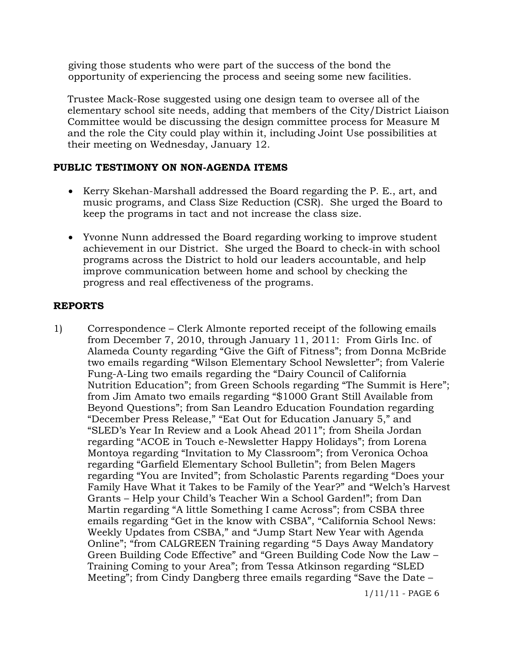giving those students who were part of the success of the bond the opportunity of experiencing the process and seeing some new facilities.

 Trustee Mack-Rose suggested using one design team to oversee all of the elementary school site needs, adding that members of the City/District Liaison Committee would be discussing the design committee process for Measure M and the role the City could play within it, including Joint Use possibilities at their meeting on Wednesday, January 12.

## **PUBLIC TESTIMONY ON NON-AGENDA ITEMS**

- Kerry Skehan-Marshall addressed the Board regarding the P. E., art, and music programs, and Class Size Reduction (CSR). She urged the Board to keep the programs in tact and not increase the class size.
- Yvonne Nunn addressed the Board regarding working to improve student achievement in our District. She urged the Board to check-in with school programs across the District to hold our leaders accountable, and help improve communication between home and school by checking the progress and real effectiveness of the programs.

## **REPORTS**

1) Correspondence – Clerk Almonte reported receipt of the following emails from December 7, 2010, through January 11, 2011: From Girls Inc. of Alameda County regarding "Give the Gift of Fitness"; from Donna McBride two emails regarding "Wilson Elementary School Newsletter"; from Valerie Fung-A-Ling two emails regarding the "Dairy Council of California Nutrition Education"; from Green Schools regarding "The Summit is Here"; from Jim Amato two emails regarding "\$1000 Grant Still Available from Beyond Questions"; from San Leandro Education Foundation regarding "December Press Release," "Eat Out for Education January 5," and "SLED's Year In Review and a Look Ahead 2011"; from Sheila Jordan regarding "ACOE in Touch e-Newsletter Happy Holidays"; from Lorena Montoya regarding "Invitation to My Classroom"; from Veronica Ochoa regarding "Garfield Elementary School Bulletin"; from Belen Magers regarding "You are Invited"; from Scholastic Parents regarding "Does your Family Have What it Takes to be Family of the Year?" and "Welch's Harvest Grants – Help your Child's Teacher Win a School Garden!"; from Dan Martin regarding "A little Something I came Across"; from CSBA three emails regarding "Get in the know with CSBA", "California School News: Weekly Updates from CSBA," and "Jump Start New Year with Agenda Online"; "from CALGREEN Training regarding "5 Days Away Mandatory Green Building Code Effective" and "Green Building Code Now the Law – Training Coming to your Area"; from Tessa Atkinson regarding "SLED Meeting"; from Cindy Dangberg three emails regarding "Save the Date –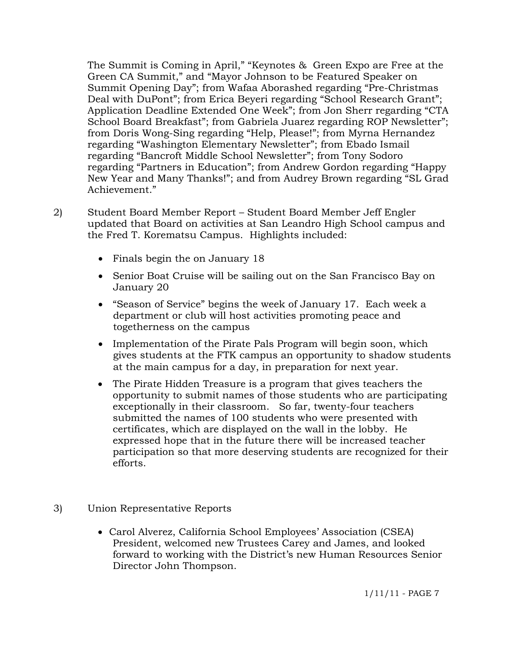The Summit is Coming in April," "Keynotes & Green Expo are Free at the Green CA Summit," and "Mayor Johnson to be Featured Speaker on Summit Opening Day"; from Wafaa Aborashed regarding "Pre-Christmas Deal with DuPont"; from Erica Beyeri regarding "School Research Grant"; Application Deadline Extended One Week"; from Jon Sherr regarding "CTA School Board Breakfast"; from Gabriela Juarez regarding ROP Newsletter"; from Doris Wong-Sing regarding "Help, Please!"; from Myrna Hernandez regarding "Washington Elementary Newsletter"; from Ebado Ismail regarding "Bancroft Middle School Newsletter"; from Tony Sodoro regarding "Partners in Education"; from Andrew Gordon regarding "Happy New Year and Many Thanks!"; and from Audrey Brown regarding "SL Grad Achievement."

- 2) Student Board Member Report Student Board Member Jeff Engler updated that Board on activities at San Leandro High School campus and the Fred T. Korematsu Campus. Highlights included:
	- Finals begin the on January 18
	- Senior Boat Cruise will be sailing out on the San Francisco Bay on January 20
	- "Season of Service" begins the week of January 17. Each week a department or club will host activities promoting peace and togetherness on the campus
	- Implementation of the Pirate Pals Program will begin soon, which gives students at the FTK campus an opportunity to shadow students at the main campus for a day, in preparation for next year.
	- The Pirate Hidden Treasure is a program that gives teachers the opportunity to submit names of those students who are participating exceptionally in their classroom. So far, twenty-four teachers submitted the names of 100 students who were presented with certificates, which are displayed on the wall in the lobby. He expressed hope that in the future there will be increased teacher participation so that more deserving students are recognized for their efforts.
- 3) Union Representative Reports
	- Carol Alverez, California School Employees' Association (CSEA) President, welcomed new Trustees Carey and James, and looked forward to working with the District's new Human Resources Senior Director John Thompson.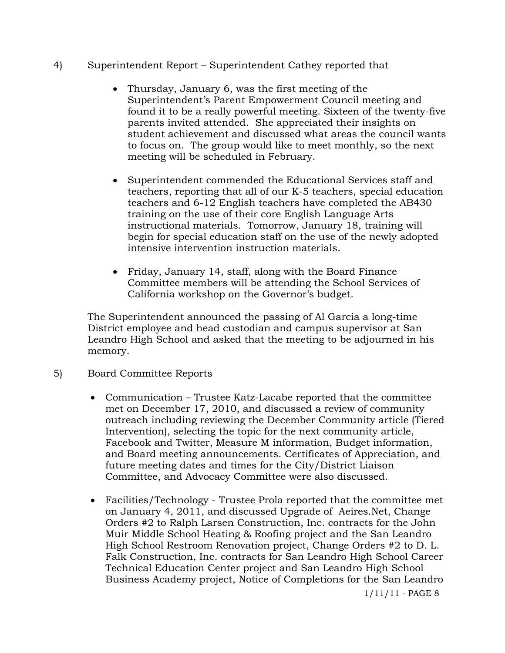- 4) Superintendent Report Superintendent Cathey reported that
	- Thursday, January 6, was the first meeting of the Superintendent's Parent Empowerment Council meeting and found it to be a really powerful meeting. Sixteen of the twenty-five parents invited attended. She appreciated their insights on student achievement and discussed what areas the council wants to focus on. The group would like to meet monthly, so the next meeting will be scheduled in February.
	- Superintendent commended the Educational Services staff and teachers, reporting that all of our K-5 teachers, special education teachers and 6-12 English teachers have completed the AB430 training on the use of their core English Language Arts instructional materials. Tomorrow, January 18, training will begin for special education staff on the use of the newly adopted intensive intervention instruction materials.
	- Friday, January 14, staff, along with the Board Finance Committee members will be attending the School Services of California workshop on the Governor's budget.

The Superintendent announced the passing of Al Garcia a long-time District employee and head custodian and campus supervisor at San Leandro High School and asked that the meeting to be adjourned in his memory.

- 5) Board Committee Reports
	- Communication Trustee Katz-Lacabe reported that the committee met on December 17, 2010, and discussed a review of community outreach including reviewing the December Community article (Tiered Intervention), selecting the topic for the next community article, Facebook and Twitter, Measure M information, Budget information, and Board meeting announcements. Certificates of Appreciation, and future meeting dates and times for the City/District Liaison Committee, and Advocacy Committee were also discussed.
	- Facilities/Technology Trustee Prola reported that the committee met on January 4, 2011, and discussed Upgrade of Aeires.Net, Change Orders #2 to Ralph Larsen Construction, Inc. contracts for the John Muir Middle School Heating & Roofing project and the San Leandro High School Restroom Renovation project, Change Orders #2 to D. L. Falk Construction, Inc. contracts for San Leandro High School Career Technical Education Center project and San Leandro High School Business Academy project, Notice of Completions for the San Leandro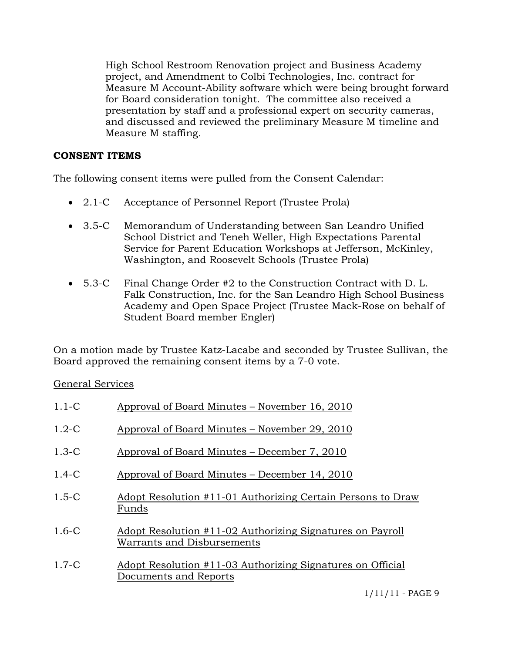High School Restroom Renovation project and Business Academy project, and Amendment to Colbi Technologies, Inc. contract for Measure M Account-Ability software which were being brought forward for Board consideration tonight. The committee also received a presentation by staff and a professional expert on security cameras, and discussed and reviewed the preliminary Measure M timeline and Measure M staffing.

## **CONSENT ITEMS**

The following consent items were pulled from the Consent Calendar:

- 2.1-C Acceptance of Personnel Report (Trustee Prola)
- 3.5-C Memorandum of Understanding between San Leandro Unified School District and Teneh Weller, High Expectations Parental Service for Parent Education Workshops at Jefferson, McKinley, Washington, and Roosevelt Schools (Trustee Prola)
- 5.3-C Final Change Order #2 to the Construction Contract with D. L. Falk Construction, Inc. for the San Leandro High School Business Academy and Open Space Project (Trustee Mack-Rose on behalf of Student Board member Engler)

On a motion made by Trustee Katz-Lacabe and seconded by Trustee Sullivan, the Board approved the remaining consent items by a 7-0 vote.

# General Services

| $1.1 - C$ | Approval of Board Minutes – November 16, 2010                                           |
|-----------|-----------------------------------------------------------------------------------------|
| $1.2-C$   | Approval of Board Minutes – November 29, 2010                                           |
| $1.3-C$   | Approval of Board Minutes – December 7, 2010                                            |
| $1.4 - C$ | Approval of Board Minutes – December 14, 2010                                           |
| $1.5 - C$ | Adopt Resolution #11-01 Authorizing Certain Persons to Draw<br>Funds                    |
| $1.6 - C$ | Adopt Resolution #11-02 Authorizing Signatures on Payroll<br>Warrants and Disbursements |
| $1.7-C$   | Adopt Resolution #11-03 Authorizing Signatures on Official<br>Documents and Reports     |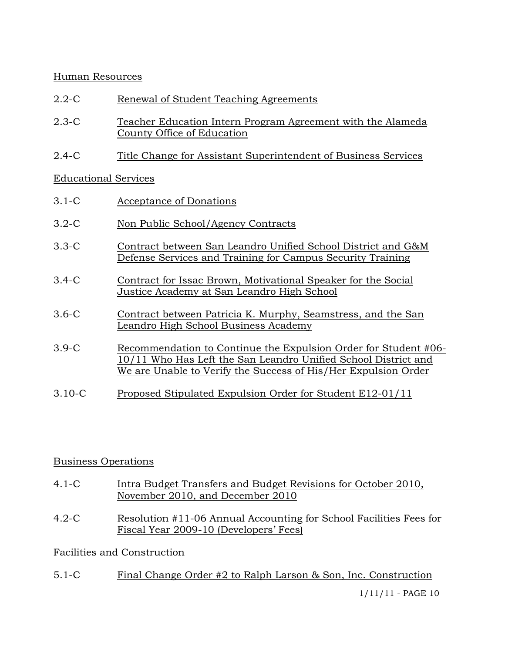## Human Resources

- 2.2-C Renewal of Student Teaching Agreements
- 2.3-C Teacher Education Intern Program Agreement with the Alameda County Office of Education
- 2.4-C Title Change for Assistant Superintendent of Business Services

## Educational Services

| $3.1-C$    | Acceptance of Donations                                                                                                                                                                             |
|------------|-----------------------------------------------------------------------------------------------------------------------------------------------------------------------------------------------------|
| $3.2 - C$  | Non Public School/Agency Contracts                                                                                                                                                                  |
| $3.3-C$    | Contract between San Leandro Unified School District and G&M<br>Defense Services and Training for Campus Security Training                                                                          |
| $3.4-C$    | Contract for Issac Brown, Motivational Speaker for the Social<br>Justice Academy at San Leandro High School                                                                                         |
| $3.6-C$    | Contract between Patricia K. Murphy, Seamstress, and the San<br>Leandro High School Business Academy                                                                                                |
| $3.9-C$    | Recommendation to Continue the Expulsion Order for Student #06-<br>10/11 Who Has Left the San Leandro Unified School District and<br>We are Unable to Verify the Success of His/Her Expulsion Order |
| $3.10 - C$ | Proposed Stipulated Expulsion Order for Student E12-01/11                                                                                                                                           |

# Business Operations

- 4.1-C Intra Budget Transfers and Budget Revisions for October 2010, November 2010, and December 2010
- 4.2-C Resolution #11-06 Annual Accounting for School Facilities Fees for Fiscal Year 2009-10 (Developers' Fees)

# Facilities and Construction

5.1-C Final Change Order #2 to Ralph Larson & Son, Inc. Construction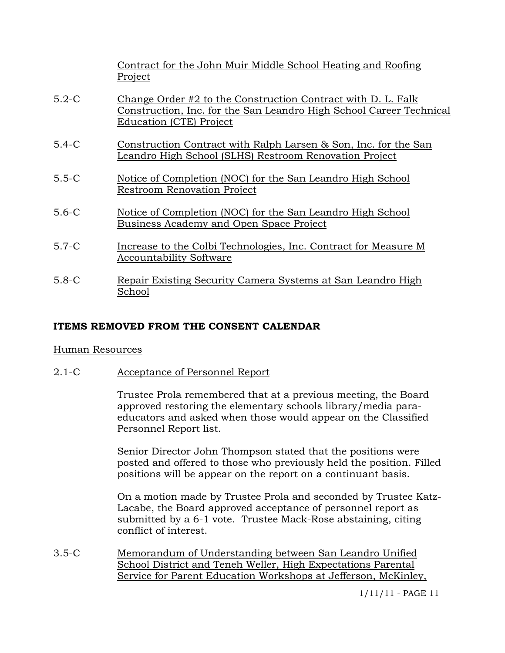|           | Contract for the John Muir Middle School Heating and Roofing<br>Project                                                                                               |
|-----------|-----------------------------------------------------------------------------------------------------------------------------------------------------------------------|
| $5.2-C$   | Change Order #2 to the Construction Contract with D. L. Falk<br>Construction, Inc. for the San Leandro High School Career Technical<br><b>Education (CTE) Project</b> |
| $5.4-C$   | Construction Contract with Ralph Larsen & Son, Inc. for the San<br>Leandro High School (SLHS) Restroom Renovation Project                                             |
| $5.5-C$   | Notice of Completion (NOC) for the San Leandro High School<br><b>Restroom Renovation Project</b>                                                                      |
| $5.6-C$   | Notice of Completion (NOC) for the San Leandro High School<br>Business Academy and Open Space Project                                                                 |
| $5.7-C$   | Increase to the Colbi Technologies, Inc. Contract for Measure M<br><b>Accountability Software</b>                                                                     |
| $5.8 - C$ | Repair Existing Security Camera Systems at San Leandro High<br>School                                                                                                 |

# **ITEMS REMOVED FROM THE CONSENT CALENDAR**

#### Human Resources

2.1-C Acceptance of Personnel Report

Trustee Prola remembered that at a previous meeting, the Board approved restoring the elementary schools library/media paraeducators and asked when those would appear on the Classified Personnel Report list.

Senior Director John Thompson stated that the positions were posted and offered to those who previously held the position. Filled positions will be appear on the report on a continuant basis.

On a motion made by Trustee Prola and seconded by Trustee Katz-Lacabe, the Board approved acceptance of personnel report as submitted by a 6-1 vote. Trustee Mack-Rose abstaining, citing conflict of interest.

3.5-C Memorandum of Understanding between San Leandro Unified School District and Teneh Weller, High Expectations Parental Service for Parent Education Workshops at Jefferson, McKinley,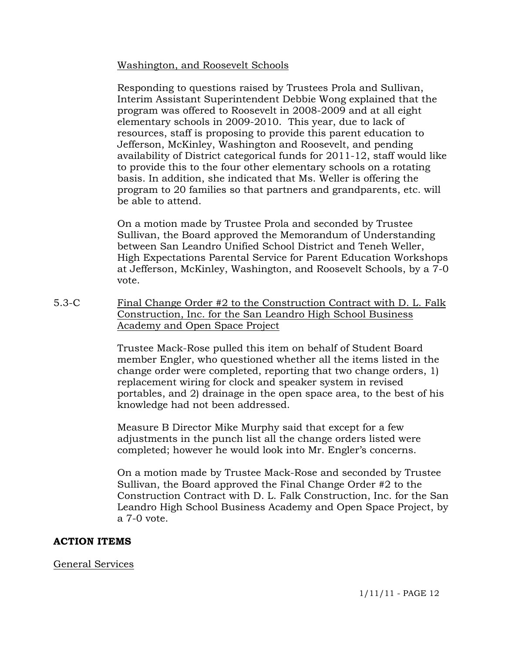Washington, and Roosevelt Schools

Responding to questions raised by Trustees Prola and Sullivan, Interim Assistant Superintendent Debbie Wong explained that the program was offered to Roosevelt in 2008-2009 and at all eight elementary schools in 2009-2010. This year, due to lack of resources, staff is proposing to provide this parent education to Jefferson, McKinley, Washington and Roosevelt, and pending availability of District categorical funds for 2011-12, staff would like to provide this to the four other elementary schools on a rotating basis. In addition, she indicated that Ms. Weller is offering the program to 20 families so that partners and grandparents, etc. will be able to attend.

On a motion made by Trustee Prola and seconded by Trustee Sullivan, the Board approved the Memorandum of Understanding between San Leandro Unified School District and Teneh Weller, High Expectations Parental Service for Parent Education Workshops at Jefferson, McKinley, Washington, and Roosevelt Schools, by a 7-0 vote.

5.3-C Final Change Order #2 to the Construction Contract with D. L. Falk Construction, Inc. for the San Leandro High School Business Academy and Open Space Project

> Trustee Mack-Rose pulled this item on behalf of Student Board member Engler, who questioned whether all the items listed in the change order were completed, reporting that two change orders, 1) replacement wiring for clock and speaker system in revised portables, and 2) drainage in the open space area, to the best of his knowledge had not been addressed.

Measure B Director Mike Murphy said that except for a few adjustments in the punch list all the change orders listed were completed; however he would look into Mr. Engler's concerns.

On a motion made by Trustee Mack-Rose and seconded by Trustee Sullivan, the Board approved the Final Change Order #2 to the Construction Contract with D. L. Falk Construction, Inc. for the San Leandro High School Business Academy and Open Space Project, by a 7-0 vote.

## **ACTION ITEMS**

General Services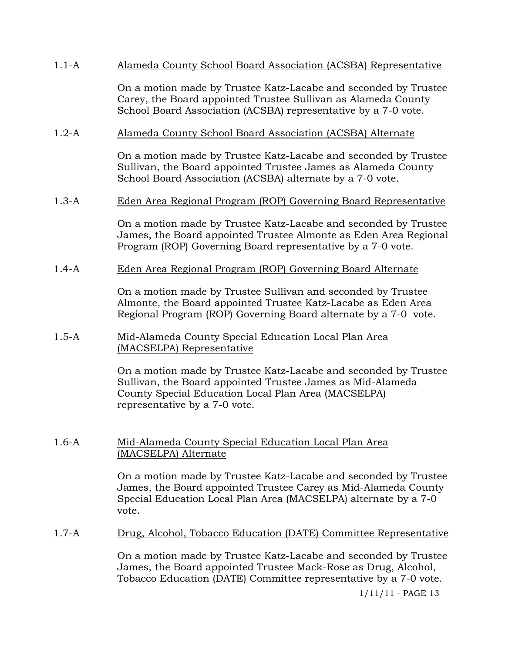## 1.1-A Alameda County School Board Association (ACSBA) Representative

On a motion made by Trustee Katz-Lacabe and seconded by Trustee Carey, the Board appointed Trustee Sullivan as Alameda County School Board Association (ACSBA) representative by a 7-0 vote.

### 1.2-A Alameda County School Board Association (ACSBA) Alternate

On a motion made by Trustee Katz-Lacabe and seconded by Trustee Sullivan, the Board appointed Trustee James as Alameda County School Board Association (ACSBA) alternate by a 7-0 vote.

#### 1.3-A Eden Area Regional Program (ROP) Governing Board Representative

On a motion made by Trustee Katz-Lacabe and seconded by Trustee James, the Board appointed Trustee Almonte as Eden Area Regional Program (ROP) Governing Board representative by a 7-0 vote.

#### 1.4-A Eden Area Regional Program (ROP) Governing Board Alternate

On a motion made by Trustee Sullivan and seconded by Trustee Almonte, the Board appointed Trustee Katz-Lacabe as Eden Area Regional Program (ROP) Governing Board alternate by a 7-0 vote.

## 1.5-A Mid-Alameda County Special Education Local Plan Area (MACSELPA) Representative

On a motion made by Trustee Katz-Lacabe and seconded by Trustee Sullivan, the Board appointed Trustee James as Mid-Alameda County Special Education Local Plan Area (MACSELPA) representative by a 7-0 vote.

#### 1.6-A Mid-Alameda County Special Education Local Plan Area (MACSELPA) Alternate

On a motion made by Trustee Katz-Lacabe and seconded by Trustee James, the Board appointed Trustee Carey as Mid-Alameda County Special Education Local Plan Area (MACSELPA) alternate by a 7-0 vote.

## 1.7-A Drug, Alcohol, Tobacco Education (DATE) Committee Representative

On a motion made by Trustee Katz-Lacabe and seconded by Trustee James, the Board appointed Trustee Mack-Rose as Drug, Alcohol, Tobacco Education (DATE) Committee representative by a 7-0 vote.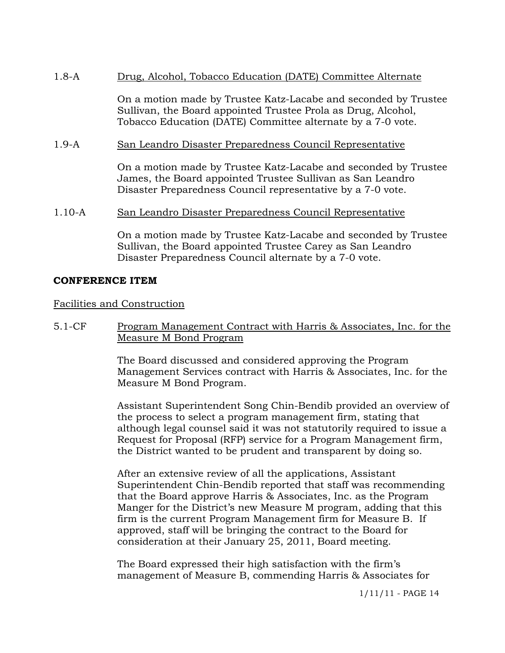## 1.8-A Drug, Alcohol, Tobacco Education (DATE) Committee Alternate

On a motion made by Trustee Katz-Lacabe and seconded by Trustee Sullivan, the Board appointed Trustee Prola as Drug, Alcohol, Tobacco Education (DATE) Committee alternate by a 7-0 vote.

### 1.9-A San Leandro Disaster Preparedness Council Representative

On a motion made by Trustee Katz-Lacabe and seconded by Trustee James, the Board appointed Trustee Sullivan as San Leandro Disaster Preparedness Council representative by a 7-0 vote.

#### 1.10-A San Leandro Disaster Preparedness Council Representative

On a motion made by Trustee Katz-Lacabe and seconded by Trustee Sullivan, the Board appointed Trustee Carey as San Leandro Disaster Preparedness Council alternate by a 7-0 vote.

#### **CONFERENCE ITEM**

#### Facilities and Construction

5.1-CF Program Management Contract with Harris & Associates, Inc. for the Measure M Bond Program

> The Board discussed and considered approving the Program Management Services contract with Harris & Associates, Inc. for the Measure M Bond Program.

> Assistant Superintendent Song Chin-Bendib provided an overview of the process to select a program management firm, stating that although legal counsel said it was not statutorily required to issue a Request for Proposal (RFP) service for a Program Management firm, the District wanted to be prudent and transparent by doing so.

After an extensive review of all the applications, Assistant Superintendent Chin-Bendib reported that staff was recommending that the Board approve Harris & Associates, Inc. as the Program Manger for the District's new Measure M program, adding that this firm is the current Program Management firm for Measure B. If approved, staff will be bringing the contract to the Board for consideration at their January 25, 2011, Board meeting.

The Board expressed their high satisfaction with the firm's management of Measure B, commending Harris & Associates for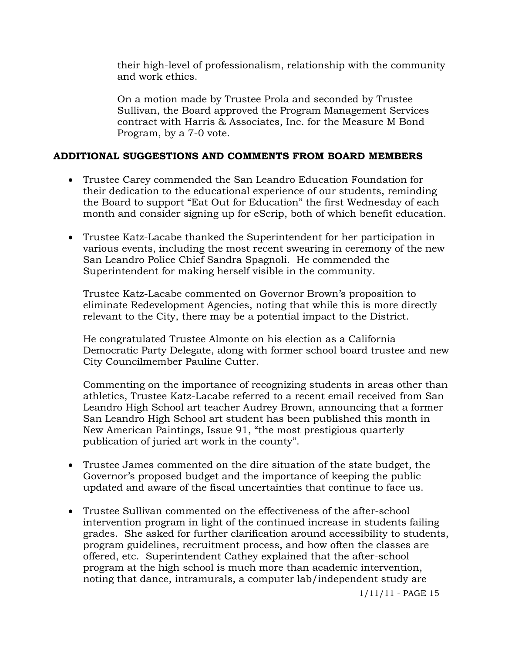their high-level of professionalism, relationship with the community and work ethics.

On a motion made by Trustee Prola and seconded by Trustee Sullivan, the Board approved the Program Management Services contract with Harris & Associates, Inc. for the Measure M Bond Program, by a 7-0 vote.

## **ADDITIONAL SUGGESTIONS AND COMMENTS FROM BOARD MEMBERS**

- Trustee Carey commended the San Leandro Education Foundation for their dedication to the educational experience of our students, reminding the Board to support "Eat Out for Education" the first Wednesday of each month and consider signing up for eScrip, both of which benefit education.
- Trustee Katz-Lacabe thanked the Superintendent for her participation in various events, including the most recent swearing in ceremony of the new San Leandro Police Chief Sandra Spagnoli. He commended the Superintendent for making herself visible in the community.

Trustee Katz-Lacabe commented on Governor Brown's proposition to eliminate Redevelopment Agencies, noting that while this is more directly relevant to the City, there may be a potential impact to the District.

He congratulated Trustee Almonte on his election as a California Democratic Party Delegate, along with former school board trustee and new City Councilmember Pauline Cutter.

Commenting on the importance of recognizing students in areas other than athletics, Trustee Katz-Lacabe referred to a recent email received from San Leandro High School art teacher Audrey Brown, announcing that a former San Leandro High School art student has been published this month in New American Paintings, Issue 91, "the most prestigious quarterly publication of juried art work in the county".

- Trustee James commented on the dire situation of the state budget, the Governor's proposed budget and the importance of keeping the public updated and aware of the fiscal uncertainties that continue to face us.
- Trustee Sullivan commented on the effectiveness of the after-school intervention program in light of the continued increase in students failing grades. She asked for further clarification around accessibility to students, program guidelines, recruitment process, and how often the classes are offered, etc. Superintendent Cathey explained that the after-school program at the high school is much more than academic intervention, noting that dance, intramurals, a computer lab/independent study are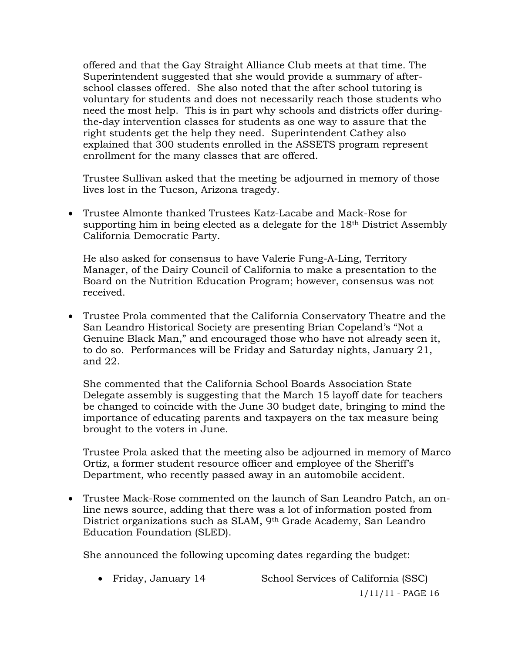offered and that the Gay Straight Alliance Club meets at that time. The Superintendent suggested that she would provide a summary of afterschool classes offered. She also noted that the after school tutoring is voluntary for students and does not necessarily reach those students who need the most help. This is in part why schools and districts offer duringthe-day intervention classes for students as one way to assure that the right students get the help they need. Superintendent Cathey also explained that 300 students enrolled in the ASSETS program represent enrollment for the many classes that are offered.

Trustee Sullivan asked that the meeting be adjourned in memory of those lives lost in the Tucson, Arizona tragedy.

 Trustee Almonte thanked Trustees Katz-Lacabe and Mack-Rose for supporting him in being elected as a delegate for the 18th District Assembly California Democratic Party.

He also asked for consensus to have Valerie Fung-A-Ling, Territory Manager, of the Dairy Council of California to make a presentation to the Board on the Nutrition Education Program; however, consensus was not received.

 Trustee Prola commented that the California Conservatory Theatre and the San Leandro Historical Society are presenting Brian Copeland's "Not a Genuine Black Man," and encouraged those who have not already seen it, to do so. Performances will be Friday and Saturday nights, January 21, and 22.

She commented that the California School Boards Association State Delegate assembly is suggesting that the March 15 layoff date for teachers be changed to coincide with the June 30 budget date, bringing to mind the importance of educating parents and taxpayers on the tax measure being brought to the voters in June.

Trustee Prola asked that the meeting also be adjourned in memory of Marco Ortiz, a former student resource officer and employee of the Sheriff's Department, who recently passed away in an automobile accident.

 Trustee Mack-Rose commented on the launch of San Leandro Patch, an online news source, adding that there was a lot of information posted from District organizations such as SLAM, 9th Grade Academy, San Leandro Education Foundation (SLED).

She announced the following upcoming dates regarding the budget:

• Friday, January 14 School Services of California (SSC)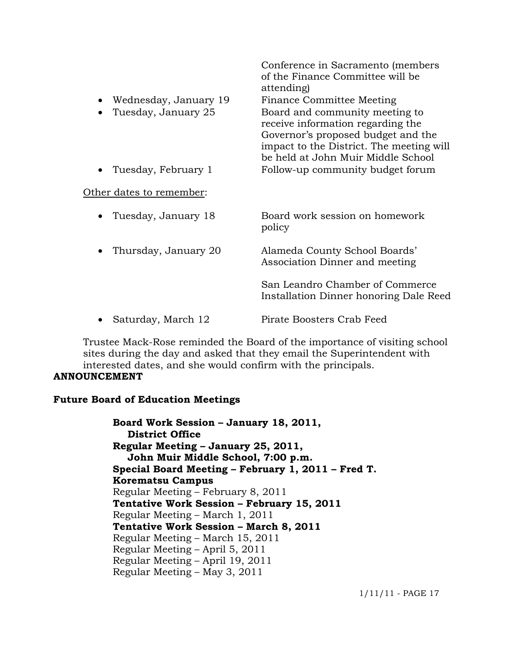|           |                          | Conference in Sacramento (members<br>of the Finance Committee will be<br>attending)                                                                                                         |
|-----------|--------------------------|---------------------------------------------------------------------------------------------------------------------------------------------------------------------------------------------|
| $\bullet$ | Wednesday, January 19    | Finance Committee Meeting                                                                                                                                                                   |
| $\bullet$ | Tuesday, January 25      | Board and community meeting to<br>receive information regarding the<br>Governor's proposed budget and the<br>impact to the District. The meeting will<br>be held at John Muir Middle School |
| $\bullet$ | Tuesday, February 1      | Follow-up community budget forum                                                                                                                                                            |
|           | Other dates to remember: |                                                                                                                                                                                             |
|           | Tuesday, January 18      | Board work session on homework<br>policy                                                                                                                                                    |
| $\bullet$ | Thursday, January 20     | Alameda County School Boards'<br>Association Dinner and meeting                                                                                                                             |
|           |                          | San Leandro Chamber of Commerce<br>Installation Dinner honoring Dale Reed                                                                                                                   |
|           | Saturday, March 12       | Pirate Boosters Crab Feed                                                                                                                                                                   |

Trustee Mack-Rose reminded the Board of the importance of visiting school sites during the day and asked that they email the Superintendent with interested dates, and she would confirm with the principals.

#### **ANNOUNCEMENT**

## **Future Board of Education Meetings**

**Board Work Session – January 18, 2011, District Office Regular Meeting – January 25, 2011, John Muir Middle School, 7:00 p.m. Special Board Meeting – February 1, 2011 – Fred T. Korematsu Campus**  Regular Meeting – February 8, 2011 **Tentative Work Session – February 15, 2011**  Regular Meeting – March 1, 2011 **Tentative Work Session – March 8, 2011**  Regular Meeting – March 15, 2011 Regular Meeting – April 5, 2011 Regular Meeting – April 19, 2011 Regular Meeting – May 3, 2011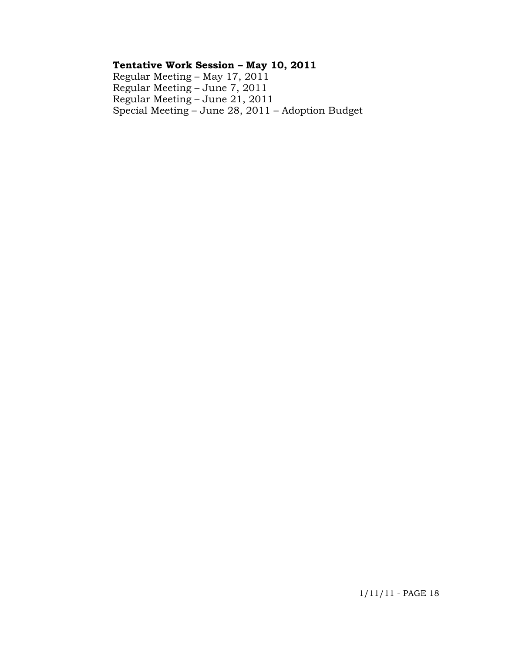# **Tentative Work Session – May 10, 2011**

 Regular Meeting – May 17, 2011 Regular Meeting – June 7, 2011 Regular Meeting – June 21, 2011 Special Meeting – June 28, 2011 – Adoption Budget